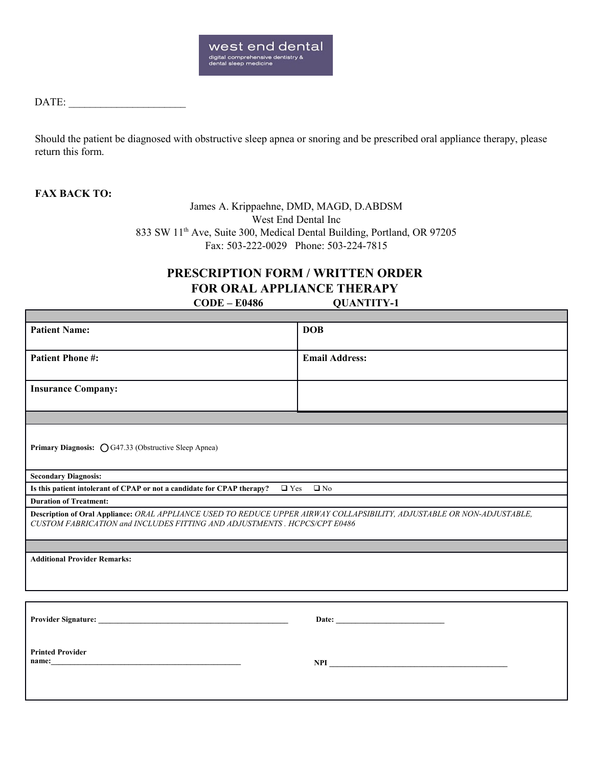

## DATE:

Should the patient be diagnosed with obstructive sleep apnea or snoring and be prescribed oral appliance therapy, please return this form.

## **FAX BACK TO:**

James A. Krippaehne, DMD, MAGD, D.ABDSM West End Dental Inc 833 SW 11th Ave, Suite 300, Medical Dental Building, Portland, OR 97205 Fax: 503-222-0029 Phone: 503-224-7815

## **PRESCRIPTION FORM / WRITTEN ORDER FOR ORAL APPLIANCE THERAPY CODE – E0486 QUANTITY-1**

| <b>Patient Name:</b>                                                                                                                                                                                                           | <b>DOB</b>            |
|--------------------------------------------------------------------------------------------------------------------------------------------------------------------------------------------------------------------------------|-----------------------|
|                                                                                                                                                                                                                                |                       |
| <b>Patient Phone #:</b>                                                                                                                                                                                                        | <b>Email Address:</b> |
|                                                                                                                                                                                                                                |                       |
|                                                                                                                                                                                                                                |                       |
| <b>Insurance Company:</b>                                                                                                                                                                                                      |                       |
|                                                                                                                                                                                                                                |                       |
|                                                                                                                                                                                                                                |                       |
|                                                                                                                                                                                                                                |                       |
| Primary Diagnosis: O G47.33 (Obstructive Sleep Apnea)                                                                                                                                                                          |                       |
|                                                                                                                                                                                                                                |                       |
|                                                                                                                                                                                                                                |                       |
| <b>Secondary Diagnosis:</b>                                                                                                                                                                                                    |                       |
| Is this patient intolerant of CPAP or not a candidate for CPAP therapy? $\Box$ Yes $\Box$ No                                                                                                                                   |                       |
| <b>Duration of Treatment:</b>                                                                                                                                                                                                  |                       |
| Description of Oral Appliance: ORAL APPLIANCE USED TO REDUCE UPPER AIRWAY COLLAPSIBILITY, ADJUSTABLE OR NON-ADJUSTABLE,                                                                                                        |                       |
| CUSTOM FABRICATION and INCLUDES FITTING AND ADJUSTMENTS . HCPCS/CPT E0486                                                                                                                                                      |                       |
|                                                                                                                                                                                                                                |                       |
|                                                                                                                                                                                                                                |                       |
| <b>Additional Provider Remarks:</b>                                                                                                                                                                                            |                       |
|                                                                                                                                                                                                                                |                       |
| the control of the control of the control of the control of the control of the control of the control of the control of the control of the control of the control of the control of the control of the control of the control  |                       |
|                                                                                                                                                                                                                                |                       |
|                                                                                                                                                                                                                                |                       |
|                                                                                                                                                                                                                                |                       |
|                                                                                                                                                                                                                                |                       |
|                                                                                                                                                                                                                                |                       |
| <b>Printed Provider</b>                                                                                                                                                                                                        |                       |
| name: https://www.archive.com/communications/communications/communications/communications/communications/communications/communications/communications/communications/communications/communications/communications/communicatio |                       |
|                                                                                                                                                                                                                                |                       |
|                                                                                                                                                                                                                                |                       |